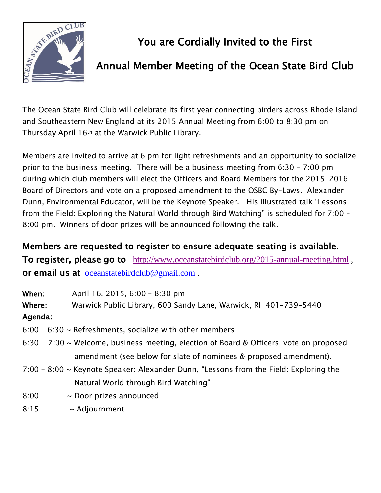

# You are Cordially Invited to the First

## Annual Member Meeting of the Ocean State Bird Club

The Ocean State Bird Club will celebrate its first year connecting birders across Rhode Island and Southeastern New England at its 2015 Annual Meeting from 6:00 to 8:30 pm on Thursday April 16th at the Warwick Public Library.

Members are invited to arrive at 6 pm for light refreshments and an opportunity to socialize prior to the business meeting. There will be a business meeting from 6:30 – 7:00 pm during which club members will elect the Officers and Board Members for the 2015-2016 Board of Directors and vote on a proposed amendment to the OSBC By-Laws. Alexander Dunn, Environmental Educator, will be the Keynote Speaker. His illustrated talk "Lessons from the Field: Exploring the Natural World through Bird Watching" is scheduled for 7:00 – 8:00 pm. Winners of door prizes will be announced following the talk.

Members are requested to register to ensure adequate seating is available. To register, please go to <http://www.oceanstatebirdclub.org/2015-annual-meeting.html> , or email us at [oceanstatebirdclub@gmail.com](mailto:oceanstatebirdclub@gmail.com) .

When: April 16, 2015, 6:00 – 8:30 pm Where: Warwick Public Library, 600 Sandy Lane, Warwick, RI 401-739-5440

### Agenda:

- $6:00 6:30 \sim$  Refreshments, socialize with other members
- 6:30 7:00 ~ Welcome, business meeting, election of Board & Officers, vote on proposed amendment (see below for slate of nominees & proposed amendment).
- 7:00 8:00 ~ Keynote Speaker: Alexander Dunn, "Lessons from the Field: Exploring the Natural World through Bird Watching"
- 8:00 ~ Door prizes announced
- 8:15 ~ Adjournment